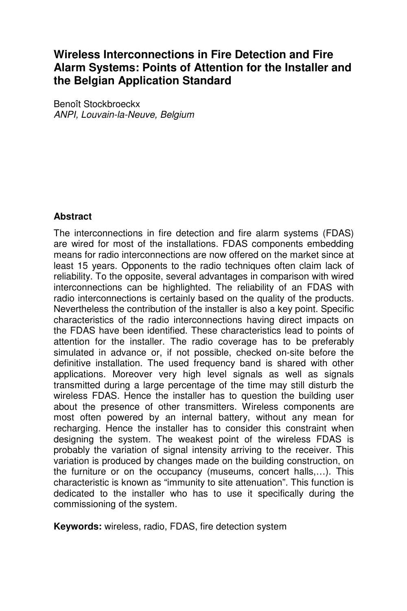# **Wireless Interconnections in Fire Detection and Fire Alarm Systems: Points of Attention for the Installer and the Belgian Application Standard**

Benoît Stockbroeckx ANPI, Louvain-la-Neuve, Belgium

#### **Abstract**

The interconnections in fire detection and fire alarm systems (FDAS) are wired for most of the installations. FDAS components embedding means for radio interconnections are now offered on the market since at least 15 years. Opponents to the radio techniques often claim lack of reliability. To the opposite, several advantages in comparison with wired interconnections can be highlighted. The reliability of an FDAS with radio interconnections is certainly based on the quality of the products. Nevertheless the contribution of the installer is also a key point. Specific characteristics of the radio interconnections having direct impacts on the FDAS have been identified. These characteristics lead to points of attention for the installer. The radio coverage has to be preferably simulated in advance or, if not possible, checked on-site before the definitive installation. The used frequency band is shared with other applications. Moreover very high level signals as well as signals transmitted during a large percentage of the time may still disturb the wireless FDAS. Hence the installer has to question the building user about the presence of other transmitters. Wireless components are most often powered by an internal battery, without any mean for recharging. Hence the installer has to consider this constraint when designing the system. The weakest point of the wireless FDAS is probably the variation of signal intensity arriving to the receiver. This variation is produced by changes made on the building construction, on the furniture or on the occupancy (museums, concert halls,…). This characteristic is known as "immunity to site attenuation". This function is dedicated to the installer who has to use it specifically during the commissioning of the system.

**Keywords:** wireless, radio, FDAS, fire detection system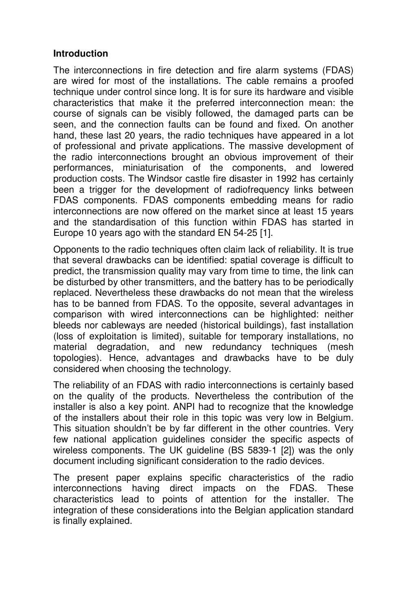#### **Introduction**

The interconnections in fire detection and fire alarm systems (FDAS) are wired for most of the installations. The cable remains a proofed technique under control since long. It is for sure its hardware and visible characteristics that make it the preferred interconnection mean: the course of signals can be visibly followed, the damaged parts can be seen, and the connection faults can be found and fixed. On another hand, these last 20 years, the radio techniques have appeared in a lot of professional and private applications. The massive development of the radio interconnections brought an obvious improvement of their performances, miniaturisation of the components, and lowered production costs. The Windsor castle fire disaster in 1992 has certainly been a trigger for the development of radiofrequency links between FDAS components. FDAS components embedding means for radio interconnections are now offered on the market since at least 15 years and the standardisation of this function within FDAS has started in Europe 10 years ago with the standard EN 54-25 [1].

Opponents to the radio techniques often claim lack of reliability. It is true that several drawbacks can be identified: spatial coverage is difficult to predict, the transmission quality may vary from time to time, the link can be disturbed by other transmitters, and the battery has to be periodically replaced. Nevertheless these drawbacks do not mean that the wireless has to be banned from FDAS. To the opposite, several advantages in comparison with wired interconnections can be highlighted: neither bleeds nor cableways are needed (historical buildings), fast installation (loss of exploitation is limited), suitable for temporary installations, no material degradation, and new redundancy techniques (mesh topologies). Hence, advantages and drawbacks have to be duly considered when choosing the technology.

The reliability of an FDAS with radio interconnections is certainly based on the quality of the products. Nevertheless the contribution of the installer is also a key point. ANPI had to recognize that the knowledge of the installers about their role in this topic was very low in Belgium. This situation shouldn't be by far different in the other countries. Very few national application guidelines consider the specific aspects of wireless components. The UK guideline (BS 5839-1 [2]) was the only document including significant consideration to the radio devices.

The present paper explains specific characteristics of the radio interconnections having direct impacts on the FDAS. These characteristics lead to points of attention for the installer. The integration of these considerations into the Belgian application standard is finally explained.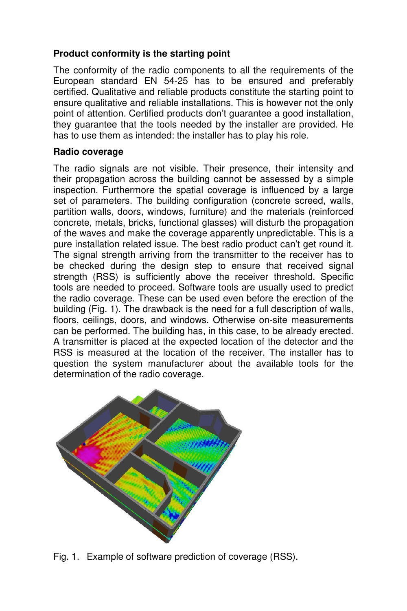## **Product conformity is the starting point**

The conformity of the radio components to all the requirements of the European standard EN 54-25 has to be ensured and preferably certified. Qualitative and reliable products constitute the starting point to ensure qualitative and reliable installations. This is however not the only point of attention. Certified products don't guarantee a good installation, they guarantee that the tools needed by the installer are provided. He has to use them as intended: the installer has to play his role.

#### **Radio coverage**

The radio signals are not visible. Their presence, their intensity and their propagation across the building cannot be assessed by a simple inspection. Furthermore the spatial coverage is influenced by a large set of parameters. The building configuration (concrete screed, walls, partition walls, doors, windows, furniture) and the materials (reinforced concrete, metals, bricks, functional glasses) will disturb the propagation of the waves and make the coverage apparently unpredictable. This is a pure installation related issue. The best radio product can't get round it. The signal strength arriving from the transmitter to the receiver has to be checked during the design step to ensure that received signal strength (RSS) is sufficiently above the receiver threshold. Specific tools are needed to proceed. Software tools are usually used to predict the radio coverage. These can be used even before the erection of the building (Fig. 1). The drawback is the need for a full description of walls, floors, ceilings, doors, and windows. Otherwise on-site measurements can be performed. The building has, in this case, to be already erected. A transmitter is placed at the expected location of the detector and the RSS is measured at the location of the receiver. The installer has to question the system manufacturer about the available tools for the determination of the radio coverage.



Fig. 1. Example of software prediction of coverage (RSS).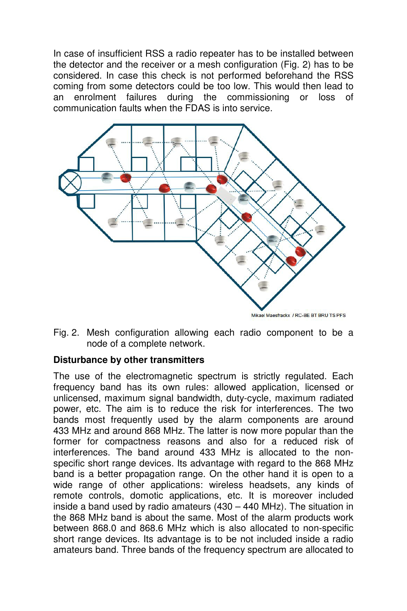In case of insufficient RSS a radio repeater has to be installed between the detector and the receiver or a mesh configuration (Fig. 2) has to be considered. In case this check is not performed beforehand the RSS coming from some detectors could be too low. This would then lead to an enrolment failures during the commissioning or loss of communication faults when the FDAS is into service.



Fig. 2. Mesh configuration allowing each radio component to be a node of a complete network.

## **Disturbance by other transmitters**

The use of the electromagnetic spectrum is strictly regulated. Each frequency band has its own rules: allowed application, licensed or unlicensed, maximum signal bandwidth, duty-cycle, maximum radiated power, etc. The aim is to reduce the risk for interferences. The two bands most frequently used by the alarm components are around 433 MHz and around 868 MHz. The latter is now more popular than the former for compactness reasons and also for a reduced risk of interferences. The band around 433 MHz is allocated to the nonspecific short range devices. Its advantage with regard to the 868 MHz band is a better propagation range. On the other hand it is open to a wide range of other applications: wireless headsets, any kinds of remote controls, domotic applications, etc. It is moreover included inside a band used by radio amateurs (430 – 440 MHz). The situation in the 868 MHz band is about the same. Most of the alarm products work between 868.0 and 868.6 MHz which is also allocated to non-specific short range devices. Its advantage is to be not included inside a radio amateurs band. Three bands of the frequency spectrum are allocated to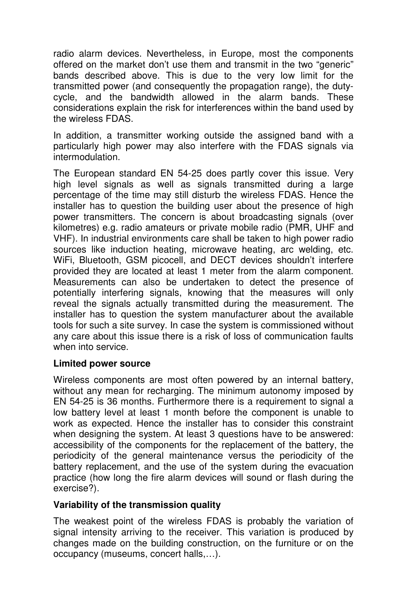radio alarm devices. Nevertheless, in Europe, most the components offered on the market don't use them and transmit in the two "generic" bands described above. This is due to the very low limit for the transmitted power (and consequently the propagation range), the dutycycle, and the bandwidth allowed in the alarm bands. These considerations explain the risk for interferences within the band used by the wireless FDAS.

In addition, a transmitter working outside the assigned band with a particularly high power may also interfere with the FDAS signals via intermodulation.

The European standard EN 54-25 does partly cover this issue. Very high level signals as well as signals transmitted during a large percentage of the time may still disturb the wireless FDAS. Hence the installer has to question the building user about the presence of high power transmitters. The concern is about broadcasting signals (over kilometres) e.g. radio amateurs or private mobile radio (PMR, UHF and VHF). In industrial environments care shall be taken to high power radio sources like induction heating, microwave heating, arc welding, etc. WiFi, Bluetooth, GSM picocell, and DECT devices shouldn't interfere provided they are located at least 1 meter from the alarm component. Measurements can also be undertaken to detect the presence of potentially interfering signals, knowing that the measures will only reveal the signals actually transmitted during the measurement. The installer has to question the system manufacturer about the available tools for such a site survey. In case the system is commissioned without any care about this issue there is a risk of loss of communication faults when into service.

## **Limited power source**

Wireless components are most often powered by an internal battery, without any mean for recharging. The minimum autonomy imposed by EN 54-25 is 36 months. Furthermore there is a requirement to signal a low battery level at least 1 month before the component is unable to work as expected. Hence the installer has to consider this constraint when designing the system. At least 3 questions have to be answered: accessibility of the components for the replacement of the battery, the periodicity of the general maintenance versus the periodicity of the battery replacement, and the use of the system during the evacuation practice (how long the fire alarm devices will sound or flash during the exercise?).

#### **Variability of the transmission quality**

The weakest point of the wireless FDAS is probably the variation of signal intensity arriving to the receiver. This variation is produced by changes made on the building construction, on the furniture or on the occupancy (museums, concert halls,…).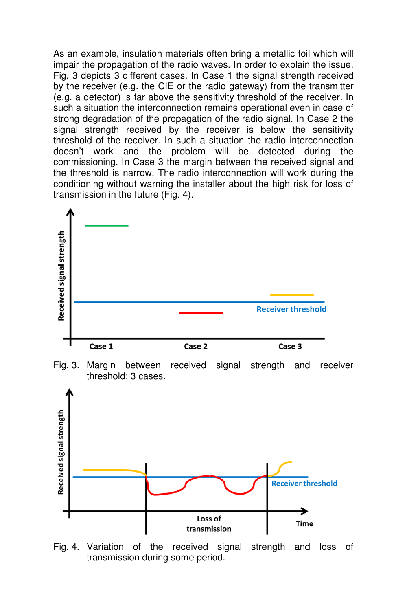As an example, insulation materials often bring a metallic foil which will impair the propagation of the radio waves. In order to explain the issue, Fig. 3 depicts 3 different cases. In Case 1 the signal strength received by the receiver (e.g. the CIE or the radio gateway) from the transmitter (e.g. a detector) is far above the sensitivity threshold of the receiver. In such a situation the interconnection remains operational even in case of strong degradation of the propagation of the radio signal. In Case 2 the signal strength received by the receiver is below the sensitivity threshold of the receiver. In such a situation the radio interconnection doesn't work and the problem will be detected during the commissioning. In Case 3 the margin between the received signal and the threshold is narrow. The radio interconnection will work during the conditioning without warning the installer about the high risk for loss of transmission in the future (Fig. 4).



Fig. 3. Margin between received signal strength and receiver threshold: 3 cases.



Fig. 4. Variation of the received signal strength and loss of transmission during some period.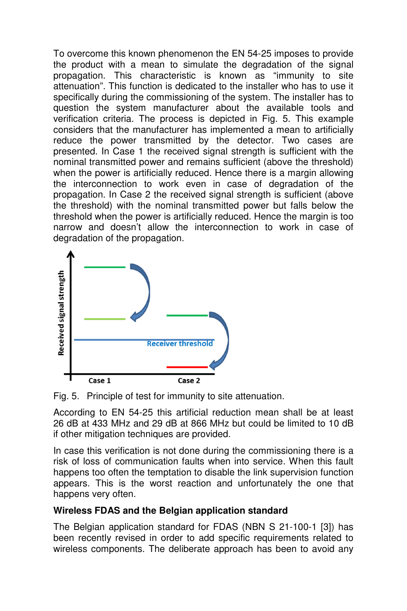To overcome this known phenomenon the EN 54-25 imposes to provide the product with a mean to simulate the degradation of the signal propagation. This characteristic is known as "immunity to site attenuation". This function is dedicated to the installer who has to use it specifically during the commissioning of the system. The installer has to question the system manufacturer about the available tools and verification criteria. The process is depicted in Fig. 5. This example considers that the manufacturer has implemented a mean to artificially reduce the power transmitted by the detector. Two cases are presented. In Case 1 the received signal strength is sufficient with the nominal transmitted power and remains sufficient (above the threshold) when the power is artificially reduced. Hence there is a margin allowing the interconnection to work even in case of degradation of the propagation. In Case 2 the received signal strength is sufficient (above the threshold) with the nominal transmitted power but falls below the threshold when the power is artificially reduced. Hence the margin is too narrow and doesn't allow the interconnection to work in case of degradation of the propagation.



Fig. 5. Principle of test for immunity to site attenuation.

According to EN 54-25 this artificial reduction mean shall be at least 26 dB at 433 MHz and 29 dB at 866 MHz but could be limited to 10 dB if other mitigation techniques are provided.

In case this verification is not done during the commissioning there is a risk of loss of communication faults when into service. When this fault happens too often the temptation to disable the link supervision function appears. This is the worst reaction and unfortunately the one that happens very often.

# **Wireless FDAS and the Belgian application standard**

The Belgian application standard for FDAS (NBN S 21-100-1 [3]) has been recently revised in order to add specific requirements related to wireless components. The deliberate approach has been to avoid any